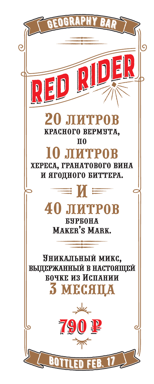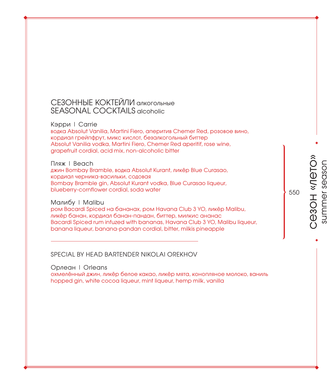#### СЕЗОННЫЕ КОКТЕЙЛИ алкогольные SEASONAL COCKTAILS alcoholic

#### Кэрри | Carrie

водка Absolut Vanilia, Martini Fiero, аперитив Chemer Red, розовое вино, кордиал грейпфрут, микс кислот, безалкогольный биттер Absolut Vanilia vodka, Martini Fiero, Chemer Red aperitif, rose wine, grapefruit cordial, acid mix, non-alcoholic bitter

#### Пляж | Beach

джин Bombay Bramble, водка Absolut Kurant, ликёр Blue Curasao, кордиал черника-васильки, содовая Bombay Bramble gin, Absolut Kurant vodka, Blue Curasao liqueur, blueberry-cornflower cordial, soda water

#### Малибу | Malibu

ром Bacardi Spiced на бананах, ром Havana Club 3 YO, ликёр Malibu, ликёр банан, кордиал банан-пандан, биттер, милкис ананас Bacardi Spiced rum infuzed with bananas, Havana Club 3 YO, Malibu liqueur, banana liqueur, banana-pandan cordial, bitter, milkis pineapple

#### SPECIAL BY HEAD BARTENDER NIKOLAI OREKHOV

#### Орлеан | Orleans

охмелённый джин, ликёр белое какао, ликёр мята, конопляное молоко, ваниль hopped gin, white cocoa liqueur, mint liqueur, hemp milk, vanilla

# cesoн «Лето» сезон «лето» summer season summer season

550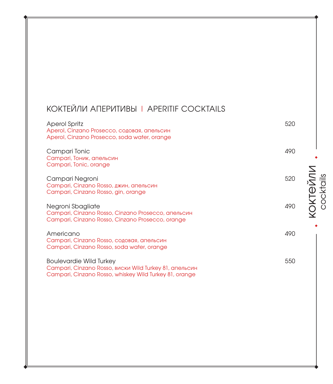# КОКТЕЙЛИ АПЕРИТИВЫ | APERITIF COCKTAILS

| <b>Aperol Spritz</b><br>Aperol, Cinzano Prosecco, содовая, апельсин<br>Aperol, Cinzano Prosecco, soda water, orange                                | 520             |
|----------------------------------------------------------------------------------------------------------------------------------------------------|-----------------|
| Campari Tonic<br>Campari, Тоник, апельсин<br>Campari, Tonic, orange                                                                                | 490             |
| Campari Negroni<br>Campari, Cinzano Rosso, джин, апельсин<br>Campari, Cinzano Rosso, gin, orange                                                   | KOKTONNN<br>520 |
| Negroni Sbagliate<br>Campari, Cinzano Rosso, Cinzano Prosecco, апельсин<br>Campari, Cinzano Rosso, Cinzano Prosecco, orange                        | 490             |
| Americano<br>Campari, Cinzano Rosso, содовая, апельсин<br>Campari, Cinzano Rosso, soda water, orange                                               | 490             |
| <b>Boulevardie Wild Turkey</b><br>Campari, Cinzano Rosso, виски Wild Turkey 81, апельсин<br>Campari, Cinzano Rosso, whiskey Wild Turkey 81, orange | 550             |

**KOKTEЙЛИ**<br>cocktails cocktails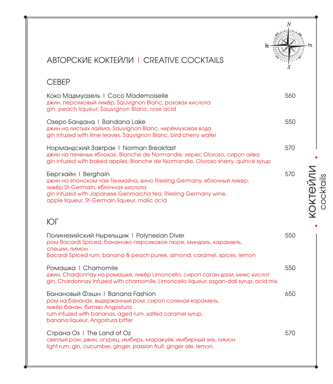## АВТОРСКИЕ КОКТЕЙЛИ | CREATIVE COCKTAILS

#### СЕВЕР

Коко Мадмуазель | Coco Mademoiselle 560 джин, персиковый ликёр, Sauvignon Blanc, розовая кислота gin, peach liqueur, Sauvignon Blanc, rose acid

Озеро Бандана | Bandana Lake 550 джин на листьях лайма, Sauvignon Blanc, черёмуховая вода gin infuzed with lime leaves, Sauvignon Blanc, bird cherry water

Нормандский Завтрак | Norman Breakfast 570 джин на печеных яблоках, Blanche de Normandie, херес Oloroso, сироп айва gin infuzed with baked apples, Blanche de Normandie, Oloroso sherry, quince syrup

Бергхайн | Berghain 570 джин на японском чае Генмайча, вино Riesling Germany, яблочный ликер, ликёр St-Germain, яблочная кислота gin infuzed with Japanese Genmaicha tea, Riesling Germany wine, apple liqueur, St-Germain liqueur, malic acid

### ЮГ

| Полинезийский Ныряльщик   Polynesian Diver<br>ром Bacardi Spiced, бананово-персиковое пюре, миндаль, карамель,<br>СПЕЦИИ, ЛИМОН<br>Bacardi Spiced rum, banana & peach puree, almond, caramel, spices, lemon                   | 550 |
|-------------------------------------------------------------------------------------------------------------------------------------------------------------------------------------------------------------------------------|-----|
| Ромашка   Chamomile<br>джин, Chardonnay на ромашке, ликёр Limoncello, сироп саган-дали, микс кислот<br>gin, Chardonnay infuzed with chamomile, Limoncello liqueur, sagan-dali syrup, acid mix                                 | 550 |
| Банановый Фэшн   Banana Fashion<br>ром на бананах, выдержанный ром, сироп соленая карамель,<br>ликёр банан, биттер Angostura<br>rum infuzed with bananas, aged rum, salted caramel syrup,<br>banana liqueur, Angostura bitter | 650 |
| Страна O <sub>3</sub>   The Land of Oz<br>светлый ром, джин, огурец, имбирь, маракуйя, имбирный эль, лимон<br>light rum, gin, cucumber, ginger, passion fruit, ginger ale, lemon                                              | 570 |

**KOKTEЙЛИ**<br>cocktails коктейли cocktails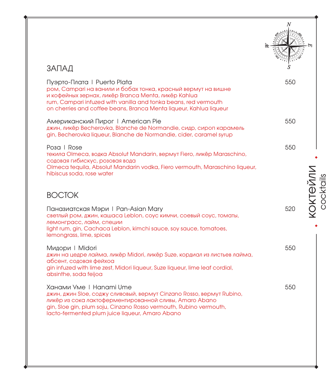| ЗАПАД                                                                                                                                                                                                                                                                                        |                              |
|----------------------------------------------------------------------------------------------------------------------------------------------------------------------------------------------------------------------------------------------------------------------------------------------|------------------------------|
| Пуэрто-Плата   Puerto Plata<br>ром, Campari на ванили и бобах тонка, красный вермут на вишне<br>и кофейных зернах, ликёр Branca Menta, ликёр Kahlua<br>rum, Campari infuzed with vanilla and tonka beans, red vermouth<br>on cherries and coffee beans, Branca Menta liqueur, Kahlua liqueur | 550                          |
| Американский Пирог   American Pie<br>джин, ликёр Becherovka, Blanche de Normandie, сидр, сироп карамель<br>gin, Becherovka liqueur, Blanche de Normandie, cider, caramel syrup                                                                                                               | 550                          |
| Posa   Rose<br>текила Olmeca, водка Absolut Mandarin, вермут Fiero, ликёр Maraschino,<br>содовая гибискус, розовая вода                                                                                                                                                                      | 550                          |
| Olmeca tequila, Absolut Mandarin vodka, Fiero vermouth, Maraschino liqueur,<br>hibiscus soda, rose water<br><b>BOCTOK</b>                                                                                                                                                                    | <b>KOKTEЙЛИ</b><br>COCKtails |
| Паназиатская Мэри I Pan-Asian Mary<br>светлый ром, джин, кашаса Leblon, соус кимчи, соевый соус, томаты,<br>лемонграсс, лайм, специи<br>light rum, gin, Cachaca Leblon, kimchi sauce, soy sauce, tomatoes,<br>lemongrass, lime, spices                                                       | 520                          |
| Мидори   Midori<br>джин на цедре лайма, ликёр Midori, ликёр Suze, кордиал из листьев лайма,<br>абсент, содовая фейхоа<br>gin infuzed with lime zest, Midori liqueur, Suze liqueur, lime leaf cordial,<br>absinthe, soda feijoa                                                               | 550                          |
| Ханами Уме   Hanami Ume<br>джин, джин Sloe, соджу сливовый, вермут Cinzano Rosso, вермут Rubino,<br>ликёр из сока лактоферментированной сливы, Amaro Abano<br>gin, Sloe gin, plum soju, Cinzano Rosso vermouth, Rubino vermouth,<br>lacto-fermented plum juice liqueur, Amaro Abano          | 550                          |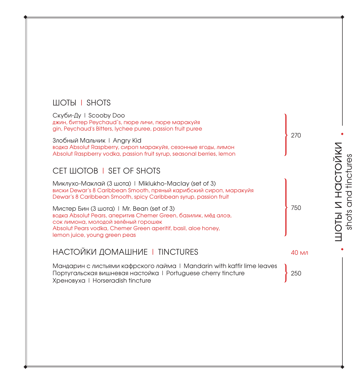#### ШОТЫ | SHOTS

| Скуби-Ду   Scooby Doo<br>джин, биттер Peychaud's, пюре личи, пюре маракуйя<br>gin, Peychaud's Bitters, lychee puree, passion fruit puree                                                                                                              |     |
|-------------------------------------------------------------------------------------------------------------------------------------------------------------------------------------------------------------------------------------------------------|-----|
| Злобный Мальчик   Angry Kid<br>водка Absolut Raspberry, сироп маракуйя, сезонные ягоды, лимон<br>Absolut Raspberry vodka, passion fruit syrup, seasonal berries, lemon                                                                                | 270 |
| CET LUOTOB   SET OF SHOTS                                                                                                                                                                                                                             |     |
| Миклухо-Маклай (3 шота)   Miklukho-Maclay (set of 3)<br>виски Dewar's 8 Caribbean Smooth, пряный карибский сироп, маракуйя<br>Dewar's 8 Caribbean Smooth, spicy Caribbean syrup, passion fruit                                                        |     |
| Мистер Бин (3 шота)   Mr. Bean (set of 3)<br>водка Absolut Pears, аперитив Chemer Green, базилик, мёд алоэ,<br>сок лимона, молодой зелёный горошек<br>Absolut Pears vodka, Chemer Green aperitif, basil, aloe honey,<br>lemon juice, young green peas | 750 |

НАСТОЙКИ ДОМАШНИЕ | TINCTURES 40 мл

Мандарин с листьями кафрского лайма | Mandarin with kaffir lime leaves Португальская вишневая настойка | Portuguese cherry tincture Хреновуха | Horseradish tincture

250

**TOLPI N HACLONKN**<br>Tope and finctures шоты и настойки shots and tinctures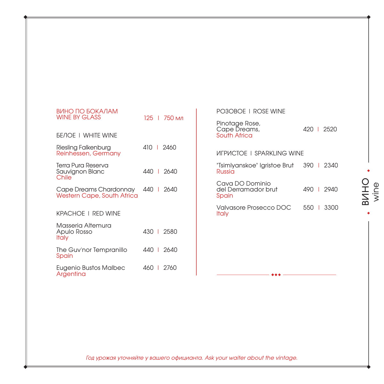| ВИНО ПО БОКАЛАМ<br><b>WINE BY GLASS</b>                     |  | 125   750 мл |
|-------------------------------------------------------------|--|--------------|
| <b><i>BENOE I WHITE WINE</i></b>                            |  |              |
| Riesling Falkenburg<br>Reinhessen, Germany                  |  | 410   2460   |
| Terra Pura Reserva<br>Sauvignon Blanc<br>Chile              |  | 440   2640   |
| Cape Dreams Chardonnay<br><b>Western Cape, South Africa</b> |  | 440   2640   |
| KPACHOE I RED WINE                                          |  |              |
| Masseria Altemura<br>Apulo Rosso<br>Italy                   |  | 430   2580   |
| The Guv'nor Tempranillo<br>Spain                            |  | 440   2640   |
| Eugenio Bustos Malbec<br>Argentina                          |  | 460   2760   |

| PO3OBOE I ROSE WINE                             |            |
|-------------------------------------------------|------------|
| Pinotage Rose,<br>Cape Dreams,<br>South Africa  | 420   2520 |
| <b>UIFPUCTOF I SPARKLING WINF</b>               |            |
| "Tsimlyanskoe" Igristoe Brut<br>Russia          | 390   2340 |
| Cava DO Dominio<br>del Derramador brut<br>Spain | 490 1 2940 |
| Valvasore Prosecco DOC<br>ltaly                 | 550 1 3300 |
|                                                 |            |
|                                                 |            |
|                                                 |            |

*Год урожая уточняйте у вашего официанта. Ask your waiter about the vintage.*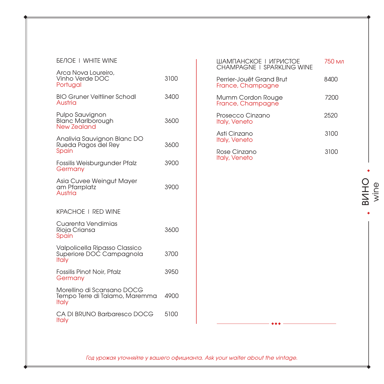| Arca Nova Loureiro,<br>Vinho Verde DOC<br>Portugal                           | 3100 |
|------------------------------------------------------------------------------|------|
| <b>BIO Gruner Veltliner Schodl</b><br>Austria                                | 3400 |
| Pulpo Sauvignon<br><b>Blanc Marlborough</b><br><b>New Zealand</b>            | 3600 |
| Analivia Sauvignon Blanc DO<br>Rueda Pagos del Rey<br>Spain                  | 3600 |
| Fossilis Weisburgunder Pfalz<br>Germany                                      | 3900 |
| Asia Cuvee Weingut Mayer<br>am Pfarrplatz<br><b>Austria</b>                  | 3900 |
| <b>KPACHOE   RED WINE</b>                                                    |      |
| Cuarenta Vendimias<br>Rioja Criansa<br>Spain                                 | 3600 |
| Valpolicella Ripasso Classico<br>Superiore DOC Campagnola<br><b>Italy</b>    | 3700 |
| <b>Fossilis Pinot Noir, Pfalz</b><br>Germany                                 | 3950 |
| Morellino di Scansano DOCG<br>Tempo Terre di Talamo, Maremma<br><b>Italy</b> | 4900 |
| CA DI BRUNO Barbaresco DOCG<br><b>Italy</b>                                  | 5100 |

| ШАМПАНСКОЕ І ИГРИСТОЕ<br>CHAMPAGNE I SPARKLING WINE | 750 мл |
|-----------------------------------------------------|--------|
| Perrier-Jouët Grand Brut<br>France, Champagne       | 8400   |
| Mumm Cordon Rouge<br>France, Champagne              | 7200   |
| Prosecco Cinzano<br>Italy, Veneto                   | 2520   |
| Asti Cinzano<br>Italy, Veneto                       | 3100   |
| Rose Cinzano<br>Italy, Veneto                       | 3100   |

*Год урожая уточняйте у вашего официанта. Ask your waiter about the vintage.*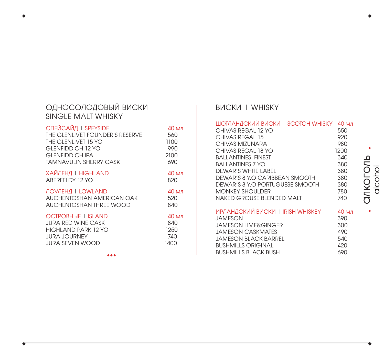#### ОДНОСОЛОДОВЫЙ ВИСКИ SINGLE MALT WHISKY

| СПЕЙСАЙД   SPEYSIDE             | 40 мл |
|---------------------------------|-------|
| THE GLENLIVET FOUNDER'S RESERVE | 560   |
| THE GI FNI IVET 15 YO           | 1100  |
| GLENFIDDICH 12 YO               | 990   |
| <b>GLENFIDDICH IPA</b>          | 2100  |
| <b>TAMNAVULIN SHERRY CASK</b>   | 690   |
| ХАЙЛЕНД   HIGHLAND              | 40 мл |
| ABEREELDY 12 YO                 | 820   |
| <b>ЛОУЛЕНД   LOWLAND</b>        | 40 мл |
| AUCHENTOSHAN AMERICAN OAK       | 520   |
| AUCHENTOSHAN THREE WOOD         | 840   |
| <b>OCTPOBHHE I ISLAND</b>       | 40 мл |
| JURA RED WINE CASK              | 840   |
| HIGHI AND PARK 12 YO            | 1250  |
| <b>JURA JOURNEY</b>             | 740   |
| JURA SEVEN WOOD                 | 1400  |

### ВИСКИ | WHISKY

| ШОТЛАНДСКИЙ ВИСКИ І ЅСОТСН WHISKY<br>CHIVAS REGAL 12 YO<br>CHIVAS REGAL 15 | $40 \text{ M}$<br>550<br>920 |
|----------------------------------------------------------------------------|------------------------------|
| CHIVAS MIZUNARA                                                            | 980                          |
| CHIVAS REGAL 18 YO                                                         | 1200                         |
| BAI I ANTINFS FINFST                                                       | 340                          |
| <b>BALLANTINES 7 YO</b>                                                    | 380                          |
| DEWAR'S WHITE LABEL                                                        | 380                          |
| DEWAR'S 8 Y.O CARIBBEAN SMOOTH                                             | 380                          |
| DEWAR'S 8 Y.O PORTUGUESE SMOOTH                                            | 380                          |
| MONKEY SHOUI DER                                                           | 780                          |
| NAKED GROUSE BI ENDED MAIT                                                 | 740                          |
| ИРЛАНДСКИЙ ВИСКИ I IRISH WHISKEY                                           | 40 мл                        |
| <b>JAMESON</b>                                                             | 390                          |
| JAMESON I IME&GINGER                                                       | 300                          |
| JAMESON CASKMATES                                                          | 490                          |
| JAMESON BI ACK BARREL                                                      | 540                          |
| <b>BUSHMILLS ORIGINAL</b>                                                  | 420                          |
| <b>BUSHMILLS BLACK BUSH</b>                                                | 690                          |

# алкоголь **ankoronb**<br>alcohol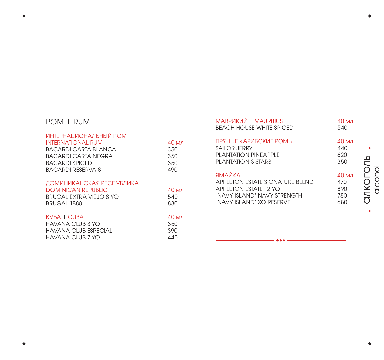# РОМ | RUM

| ИНТЕРНАЦИОНАЛЬНЫЙ РОМ<br>INTERNATIONAL RUM    | 40 мл      |
|-----------------------------------------------|------------|
| BACARDI CARTA BI ANCA                         | 350        |
| BACARDI CARTA NEGRA<br>BACARDI SPICED         | 350<br>350 |
| BACARDI RESERVA 8                             | 490        |
| ДОМИНИКАНСКАЯ РЕСПУБЛИКА                      |            |
| DOMINICAN REPUBLIC                            | 40 мл      |
| BRUGAL EXTRA VIEJO 8 YO<br><b>BRUGAL 1888</b> | 540<br>880 |
| KV5A I CUBA                                   | 40 мл      |
| $\sim$                                        |            |

| HAVANA CLUB 3 YO      | 350  |
|-----------------------|------|
| HAVANA CI UB ESPECIAL | .390 |
| HAVANA CLUB 7 YO      | 440  |

| <b>МАВРИКИЙ   MAURITIUS</b>      | 40 мл |
|----------------------------------|-------|
| <b>BEACH HOUSE WHITE SPICED</b>  | 540   |
| ПРЯНЫЕ КАРИБСКИЕ РОМЫ            | 40 мл |
| SAILOR JERRY                     | 440   |
| <b>PI ANTATION PINFAPPI F</b>    | 620   |
| PI ANTATION 3 STARS              | 350   |
| ЯМАЙКА                           | 40 мл |
| APPI FTON ESTATE SIGNATURE BLEND | 470   |
| APPI FTON ESTATE 12 YO           | 890   |
| "NAVY ISI AND" NAVY STRENGTH     | 780   |
| "NAVY ISI AND" XO RESERVE        | 680   |

# алкоголь **ankoronb**<br>alcohol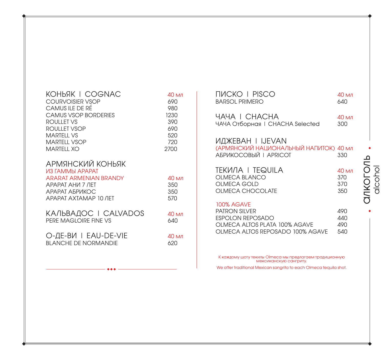| КОНЬЯК I COGNAC         | 40 мл |
|-------------------------|-------|
| <b>COURVOISIER VSOP</b> | 690   |
| CAMUS II F DE RE        | 980   |
| CAMUS VSOP BORDERIES    | 1230  |
| ROULLET VS              | 390   |
| ROULLET VSOP            | 690   |
| MARTFI I VS             | 520   |
| <b>MARTELL VSOP</b>     | 720   |
| <b>MARTELL XO</b>       | 2700  |
| АРМЯНСКИЙ КОНЬЯК        |       |
| ИЗ ГАММЫ АРАРАТ         |       |
| ARARAT ARMENIAN BRANDY  | 40 мл |
| <b>APAPAT AHU 7 JHT</b> | 350   |
| АРАРАТ АБРИКОС          | 350   |
| APAPAT AXTAMAP 10 ЛЕТ   | 570   |

| КАЛЬВАДОС I CALVADOS  | 40 мл |
|-----------------------|-------|
| PERE MAGLOIRE FINE VS | 640   |
|                       |       |

О-ДЕ-ВИ | EAU-DE-VIE 40 мл BLANCHE DE NORMANDIE 620

| ПИСКО I PISCO                                                                                                                      | 40 мл                    |
|------------------------------------------------------------------------------------------------------------------------------------|--------------------------|
| <b>BARSOL PRIMERO</b>                                                                                                              | 640                      |
| <b>YAYA I CHACHA</b>                                                                                                               | 40 мл                    |
| ЧАЧА Отборная I CHACHA Selected                                                                                                    | 300                      |
| <b>ИДЖЕВАН I IJEVAN</b><br>(АРМЯНСКИЙ НАЦИОНАЛЬНЫЙ НАПИТОК) 40 мл<br>АБРИКОСОВЫЙ   APRICOT                                         | 330                      |
| tekила i tequila                                                                                                                   | $40 \text{ M}$           |
| OLMECA BLANCO                                                                                                                      | 370                      |
| OLMECA GOLD                                                                                                                        | 370                      |
| <b>OLMECA CHOCOLATE</b>                                                                                                            | 350                      |
| <b>100% AGAVE</b><br><b>PATRON SILVER</b><br>ESPOLON REPOSADO<br>OLMECA ALTOS PLATA 100% AGAVE<br>OLMECA ALTOS REPOSADO 100% AGAVE | 490<br>440<br>490<br>540 |

К каждому шоту текилы Olmeca мы предлагаем традиционную мексиканскую сангриту.

We offer traditional Mexican sangrita to each Olmeca tequila shot.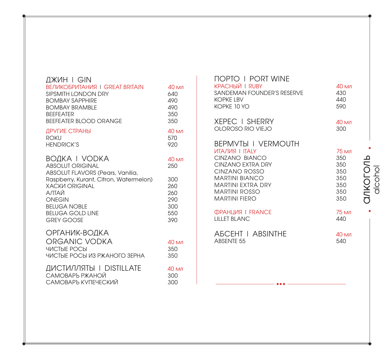| ДЖИН I GIN<br><b>BEЛИКОБРИТАНИЯ   GREAT BRITAIN</b><br>SIPSMITH LONDON DRY<br><b>BOMBAY SAPPHIRE</b><br><b>BOMBAY BRAMBLE</b><br><b>BFFFFATFR</b><br><b>BEEFEATER BLOOD ORANGE</b> | 40 мл<br>640<br>490<br>490<br>350<br>350 |
|------------------------------------------------------------------------------------------------------------------------------------------------------------------------------------|------------------------------------------|
| ДРУГИЕ СТРАНЫ                                                                                                                                                                      | 40 мл                                    |
| <b>ROKU</b>                                                                                                                                                                        | 570                                      |
| <b>HENDRICK'S</b>                                                                                                                                                                  | 920                                      |
| BOAKA I VODKA<br><b>ABSOLUT ORIGINAL</b><br>ABSOLUT FLAVORS (Pears, Vanilia,                                                                                                       | 40 мл<br>250                             |
| Raspberry, Kurant, Citron, Watermelon)                                                                                                                                             | 300                                      |
| <b>XACKV ORIGINAL</b>                                                                                                                                                              | 260                                      |
| АЛТАЙ                                                                                                                                                                              | 260                                      |
| <b>ONEGIN</b>                                                                                                                                                                      | 290                                      |
| <b>BELUGA NOBLE</b>                                                                                                                                                                | 300                                      |
| <b>BELUGA GOLD LINE</b>                                                                                                                                                            | 550                                      |
| GREY GOOSE                                                                                                                                                                         | 390                                      |
| ОРГАНИК-ВОДКА<br>ORGANIC VODKA<br><b>ЧИСТЫЕ РОСЫ</b><br>ЧИСТЫЕ РОСЫ ИЗ РЖАНОГО ЗЕРНА                                                                                               | 40 мл<br>350<br>350                      |
| ДИСТИЛЛЯТЫ   DISTILLATE                                                                                                                                                            | 40 мл                                    |
| САМОВАРЪ РЖАНОЙ                                                                                                                                                                    | 300                                      |
| САМОВАРЪ КУПЕЧЕСКИЙ                                                                                                                                                                | 300                                      |

| <b>NOPTO I PORT WINE</b><br><b>КРАСНЫЙ   RUBY</b><br>SANDEMAN FOUNDER'S RESERVE<br><b>KOPKE LBV</b><br>KOPKF 10 YO                                                                                | $40 \text{ мл}$<br>430<br>440<br>590                   |                                           |
|---------------------------------------------------------------------------------------------------------------------------------------------------------------------------------------------------|--------------------------------------------------------|-------------------------------------------|
| <b>XEPEC I SHERRY</b><br>OLOROSO RIO VIEJO                                                                                                                                                        | 40 мл<br>300                                           |                                           |
| <b>BEPMYTH I VERMOUTH</b><br><b>UTANUS I ITALY</b><br>CINZANO BIANCO<br><b>CINZANO EXTRA DRY</b><br>CINZANO ROSSO<br><b>MARTINI BIANCO</b><br>MARTINI EXTRA DRY<br>MARTINI ROSSO<br>MARTINI FIFRO | 75 мл<br>350<br>350<br>350<br>350<br>350<br>350<br>350 | Ç<br>$\overline{\mathcal{L}}$<br>レくこ<br>J |
| <b>ФРАНЦИЯ   FRANCE</b><br><b>I II I FT BI ANC</b>                                                                                                                                                | 75 мл<br>440                                           |                                           |
| <b>ABCEHT I ABSINTHE</b><br>ABSENTE 55                                                                                                                                                            | $40 \mathrm{M}$<br>540                                 |                                           |
|                                                                                                                                                                                                   |                                                        |                                           |

**ANKOLOUP**<br>Alcohol алкоголь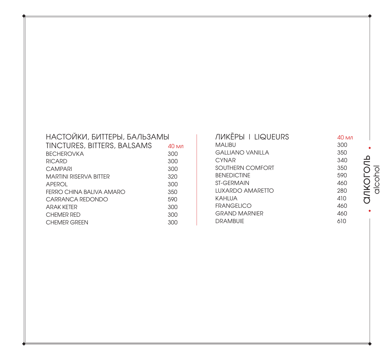| НАСТОЙКИ, БИТТЕРЫ, БАЛЬЗАМЫ   |                |  |
|-------------------------------|----------------|--|
| TINCTURES, BITTERS, BALSAMS   | $40 \text{ M}$ |  |
| <b>BECHEROVKA</b>             | 300            |  |
| <b>RICARD</b>                 | 300            |  |
| <b>CAMPARI</b>                | 300            |  |
| <b>MARTINI RISERVA BITTER</b> | 320            |  |
| APFROL                        | 300            |  |
| FERRO CHINA BAI IVA AMARO     | 350            |  |
| CARRANCA REDONDO              | 590            |  |
| <b>ARAK KFTFR</b>             | 300            |  |
| CHEMER RED                    | 300            |  |
| <b>CHEMER GREEN</b>           | 300            |  |

| <b><i>NUKEPH I LIQUEURS</i></b> | $40 \text{ м}$ л |
|---------------------------------|------------------|
| MAI IBU                         | 300              |
| GAILIANO VANILLA                | 350              |
| CYNAR                           | 340              |
| SOUTHERN COMFORT                | 350              |
| <b>BENEDICTINE</b>              | 590              |
| <b>ST-GFRMAIN</b>               | 460              |
| I UXARDO AMARFITO               | 280              |
| KAHLUA                          | 410              |
| <b>FRANGELICO</b>               | 460              |
| <b>GRAND MARNIFR</b>            | 460              |
| <b>DRAMBUIE</b>                 | 610              |
|                                 |                  |

 $\ddot{\phantom{a}}$ **ankoronb**<br>alcohol алкоголь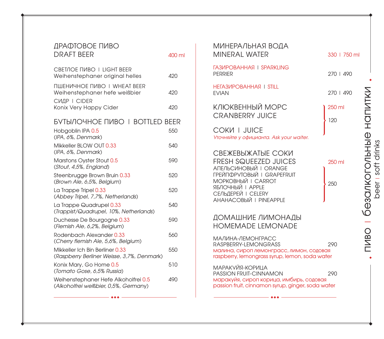| ДРАФТОВОЕ ПИВО<br><b>DRAFT BEER</b>                                              | 400 ml |
|----------------------------------------------------------------------------------|--------|
| CBET/IOE ΠИВО   LIGHT BEER<br>Weihenstephaner original helles                    | 420    |
| ПШЕНИЧНОЕ ПИВО   WHEAT BEER<br>Weihenstephaner hefe weißbier                     | 420    |
| <b>СИДР   CIDER</b><br>Konix Very Happy Cider                                    | 420    |
| <b>БУТЫЛОЧНОЕ ПИВО   BOTTLED BEER</b><br>Hobgoblin IPA 0.5<br>(IPA, 6%, Denmark) | 550    |
| Mikkeller BLOW OUT 0.33<br>(IPA, 6%, Denmark)                                    | 540    |
| Marstons Oyster Stout 0.5<br>(Stout, 4,5%, England)                              | 590    |
| Steenbrugge Brown Bruin 0.33<br>(Brown Ale, 6,5%, Belgium)                       | 520    |
| La Trappe Tripel 0.33<br>(Abbey Tripel, 7,7%, Netherlands)                       | 520    |
| La Trappe Quadrupel 0.33<br>(Trappist/Quadrupel, 10%, Netherlands)               | 540    |
| Duchesse De Bourgogne 0.33<br>(Flemish Ale, 6,2%, Belgium)                       | 590    |
| Rodenbach Alexander 0.33<br>(Cherry flemish Ale, 5,6%, Belgium)                  | 560    |
| Mikkeller Ich Bin Berliner 0.33<br>(Raspberry Berliner Weisse, 3,7%, Denmark)    | 550    |
| Konix Mary, Go Home 0.5<br>(Tomato Gose, 6,5% Russia)                            | 510    |
| Weihenstephaner Hefe Alkoholfrei 0.5<br>(Alkoholfrei weißbier, 0,5%, Germany)    | 490    |

|                                 | 400 ml | МИНЕРАЛЬНАЯ ВОДА<br>MINERAL WATER                                                            | 330   750 ml |                          |
|---------------------------------|--------|----------------------------------------------------------------------------------------------|--------------|--------------------------|
| <b>IT BEER</b><br>inal helles   | 420    | <b><i>TA3VIPOBAHHASI I SPARKLING</i></b><br><b>PERRIER</b>                                   | 270   490    |                          |
| <b>NHEAT BEER</b><br>weißbier   | 420    | HETA3 <i>MPOBAHHASI</i>   STILL<br><b>EVIAN</b>                                              | 270   490    |                          |
| эr                              | 420    | КЛЮКВЕННЫЙ МОРС<br><b>CRANBERRY JUICE</b>                                                    | 250 ml       | HONNIKN                  |
| <b>BO I BOTTLED BEER</b>        |        |                                                                                              | 120          |                          |
|                                 | 550    | COKN   JUICE<br>Уточняйте у официанта. Ask your waiter.                                      |              |                          |
|                                 | 540    |                                                                                              |              |                          |
| 5                               | 590    | СВЕЖЕВЫЖАТЫЕ СОКИ<br><b>FRESH SQUEEZED JUICES</b><br>АПЕЛЬСИНОВЫЙ   ORANGE                   | 250 ml       | <b>безалкогольные</b>    |
| in 0.33<br>m)                   | 520    | ГРЕЙПФРУТОВЫЙ   GRAPEFRUIT<br><b>МОРКОВНЫЙ   CARROT</b>                                      | 250          |                          |
| herlands)                       | 520    | ЯБЛОЧНЫЙ   APPLE<br>СЕЛЬДЕРЕЙ   CELERY                                                       |              |                          |
| 33<br>%, Netherlands)           | 540    | АНАНАСОВЫЙ   PINEAPPLE                                                                       |              |                          |
| $e_{0.33}$<br>um)               | 590    | ДОМАШНИЕ ЛИМОНАДЫ<br><b>HOMEMADE LEMONADE</b>                                                |              |                          |
| 0.33<br>6, Belgium)             | 560    | МАЛИНА-ЛЕМОНГРАСС<br>RASPBERRY-LEMONGRASS                                                    | 290          | $\bigcirc$<br><b>TNB</b> |
| 0.33<br>se, 3,7%, Denmark)      | 550    | малина, сироп лемонграсс, лимон, содовая<br>raspberry, lemongrass syrup, lemon, soda water   |              |                          |
| .5<br>sia)                      | 510    | МАРАКУЙЯ-КОРИЦА<br>PASSION FRUIT-CINNAMON                                                    | 290          |                          |
| Alkoholfrei 0.5<br>5%, Germany) | 490    | маракуйя, сироп корица, имбирь, содовая<br>passion fruit, cinnamon syrup, ginger, soda water |              |                          |
|                                 |        |                                                                                              |              |                          |

beer | soft drinks